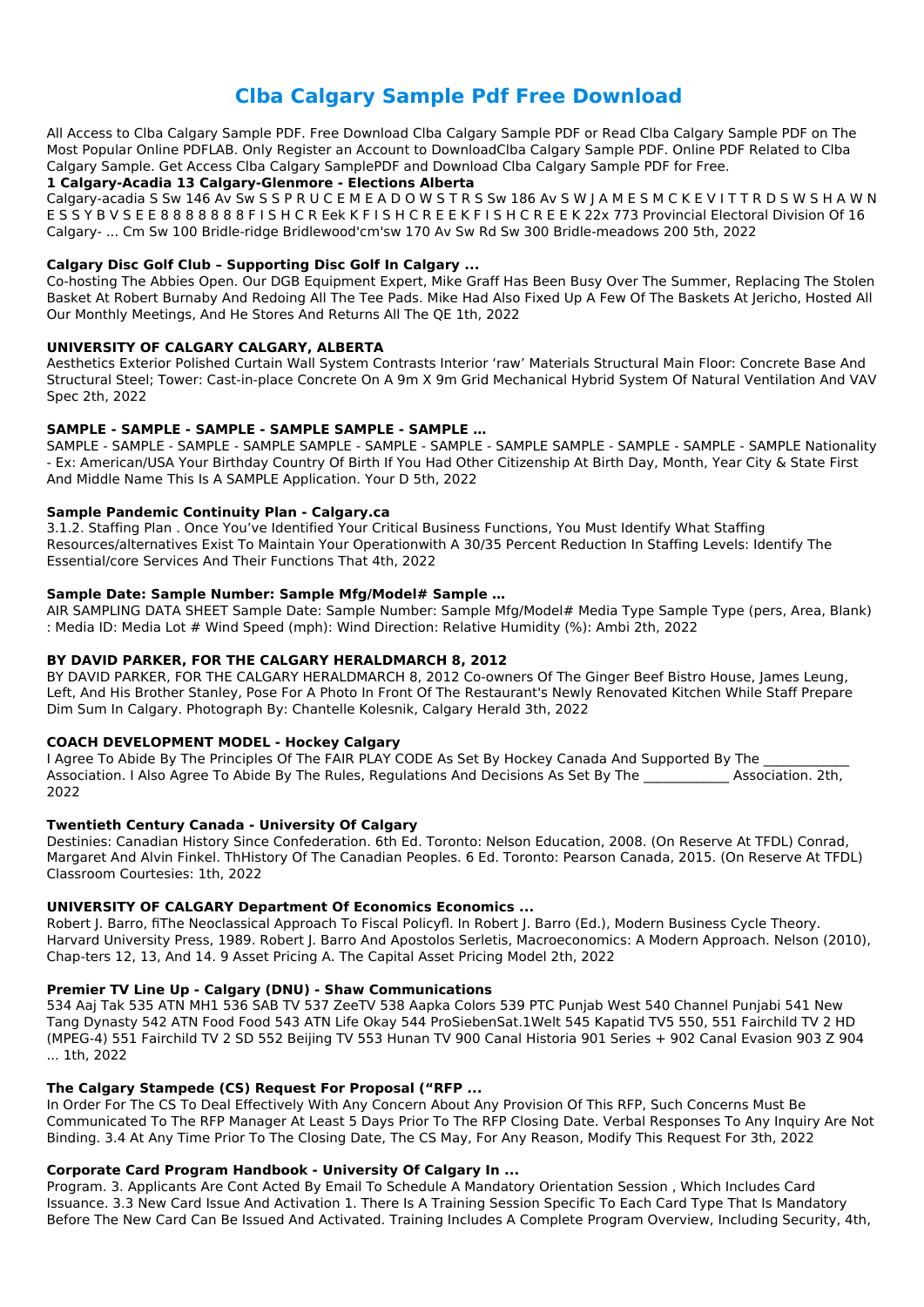# **Clba Calgary Sample Pdf Free Download**

All Access to Clba Calgary Sample PDF. Free Download Clba Calgary Sample PDF or Read Clba Calgary Sample PDF on The Most Popular Online PDFLAB. Only Register an Account to DownloadClba Calgary Sample PDF. Online PDF Related to Clba Calgary Sample. Get Access Clba Calgary SamplePDF and Download Clba Calgary Sample PDF for Free.

# **1 Calgary-Acadia 13 Calgary-Glenmore - Elections Alberta**

Calgary-acadia S Sw 146 Av Sw S S P R U C E M E A D O W S T R S Sw 186 Av S W J A M E S M C K E V I T T R D S W S H A W N E S S Y B V S E E 8 8 8 8 8 8 8 F I S H C R Eek K F I S H C R E E K F I S H C R E E K 22x 773 Provincial Electoral Division Of 16 Calgary- ... Cm Sw 100 Bridle-ridge Bridlewood'cm'sw 170 Av Sw Rd Sw 300 Bridle-meadows 200 5th, 2022

# **Calgary Disc Golf Club – Supporting Disc Golf In Calgary ...**

Co-hosting The Abbies Open. Our DGB Equipment Expert, Mike Graff Has Been Busy Over The Summer, Replacing The Stolen Basket At Robert Burnaby And Redoing All The Tee Pads. Mike Had Also Fixed Up A Few Of The Baskets At Jericho, Hosted All Our Monthly Meetings, And He Stores And Returns All The QE 1th, 2022

# **UNIVERSITY OF CALGARY CALGARY, ALBERTA**

Aesthetics Exterior Polished Curtain Wall System Contrasts Interior 'raw' Materials Structural Main Floor: Concrete Base And Structural Steel; Tower: Cast-in-place Concrete On A 9m X 9m Grid Mechanical Hybrid System Of Natural Ventilation And VAV Spec 2th, 2022

# **SAMPLE - SAMPLE - SAMPLE - SAMPLE SAMPLE - SAMPLE …**

I Agree To Abide By The Principles Of The FAIR PLAY CODE As Set By Hockey Canada And Supported By The Association. I Also Agree To Abide By The Rules, Regulations And Decisions As Set By The **Association.** 2th, 2022

SAMPLE - SAMPLE - SAMPLE - SAMPLE SAMPLE - SAMPLE - SAMPLE - SAMPLE SAMPLE - SAMPLE - SAMPLE - SAMPLE Nationality - Ex: American/USA Your Birthday Country Of Birth If You Had Other Citizenship At Birth Day, Month, Year City & State First And Middle Name This Is A SAMPLE Application. Your D 5th, 2022

# **Sample Pandemic Continuity Plan - Calgary.ca**

3.1.2. Staffing Plan . Once You've Identified Your Critical Business Functions, You Must Identify What Staffing Resources/alternatives Exist To Maintain Your Operationwith A 30/35 Percent Reduction In Staffing Levels: Identify The Essential/core Services And Their Functions That 4th, 2022

# **Sample Date: Sample Number: Sample Mfg/Model# Sample …**

AIR SAMPLING DATA SHEET Sample Date: Sample Number: Sample Mfg/Model# Media Type Sample Type (pers, Area, Blank) : Media ID: Media Lot # Wind Speed (mph): Wind Direction: Relative Humidity (%): Ambi 2th, 2022

# **BY DAVID PARKER, FOR THE CALGARY HERALDMARCH 8, 2012**

BY DAVID PARKER, FOR THE CALGARY HERALDMARCH 8, 2012 Co-owners Of The Ginger Beef Bistro House, James Leung, Left, And His Brother Stanley, Pose For A Photo In Front Of The Restaurant's Newly Renovated Kitchen While Staff Prepare Dim Sum In Calgary. Photograph By: Chantelle Kolesnik, Calgary Herald 3th, 2022

# **COACH DEVELOPMENT MODEL - Hockey Calgary**

# **Twentieth Century Canada - University Of Calgary**

Destinies: Canadian History Since Confederation. 6th Ed. Toronto: Nelson Education, 2008. (On Reserve At TFDL) Conrad, Margaret And Alvin Finkel. ThHistory Of The Canadian Peoples. 6 Ed. Toronto: Pearson Canada, 2015. (On Reserve At TFDL) Classroom Courtesies: 1th, 2022

# **UNIVERSITY OF CALGARY Department Of Economics Economics ...**

Robert J. Barro, fiThe Neoclassical Approach To Fiscal Policyfl. In Robert J. Barro (Ed.), Modern Business Cycle Theory. Harvard University Press, 1989. Robert J. Barro And Apostolos Serletis, Macroeconomics: A Modern Approach. Nelson (2010), Chap-ters 12, 13, And 14. 9 Asset Pricing A. The Capital Asset Pricing Model 2th, 2022

#### **Premier TV Line Up - Calgary (DNU) - Shaw Communications**

534 Aaj Tak 535 ATN MH1 536 SAB TV 537 ZeeTV 538 Aapka Colors 539 PTC Punjab West 540 Channel Punjabi 541 New Tang Dynasty 542 ATN Food Food 543 ATN Life Okay 544 ProSiebenSat.1Welt 545 Kapatid TV5 550, 551 Fairchild TV 2 HD (MPEG-4) 551 Fairchild TV 2 SD 552 Beijing TV 553 Hunan TV 900 Canal Historia 901 Series + 902 Canal Evasion 903 Z 904 ... 1th, 2022

### **The Calgary Stampede (CS) Request For Proposal ("RFP ...**

In Order For The CS To Deal Effectively With Any Concern About Any Provision Of This RFP, Such Concerns Must Be Communicated To The RFP Manager At Least 5 Days Prior To The RFP Closing Date. Verbal Responses To Any Inquiry Are Not Binding. 3.4 At Any Time Prior To The Closing Date, The CS May, For Any Reason, Modify This Request For 3th, 2022

### **Corporate Card Program Handbook - University Of Calgary In ...**

Program. 3. Applicants Are Cont Acted By Email To Schedule A Mandatory Orientation Session , Which Includes Card Issuance. 3.3 New Card Issue And Activation 1. There Is A Training Session Specific To Each Card Type That Is Mandatory Before The New Card Can Be Issued And Activated. Training Includes A Complete Program Overview, Including Security, 4th,